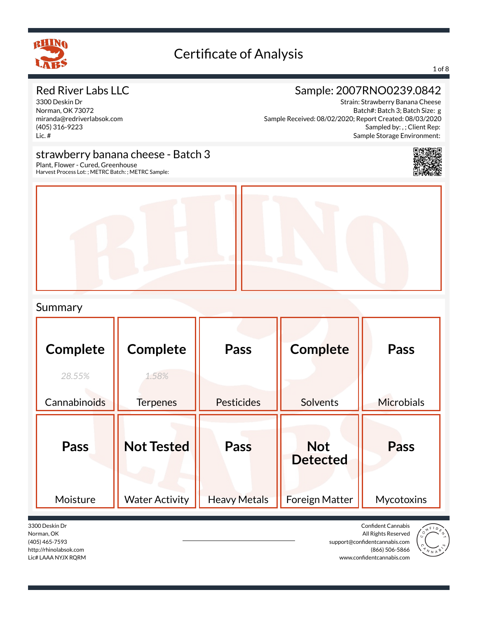

#### 1 of 8

### Red River Labs LLC

3300 Deskin Dr Norman, OK 73072 miranda@redriverlabsok.com (405) 316-9223 Lic. #

### Sample: 2007RNO0239.0842

Strain: Strawberry Banana Cheese Batch#: Batch 3; Batch Size: g Sample Received: 08/02/2020; Report Created: 08/03/2020 Sampled by: , ; Client Rep: Sample Storage Environment:

#### strawberry banana cheese - Batch 3



Plant, Flower - Cured, Greenhouse Harvest Process Lot: ; METRC Batch: ; METRC Sample:



#### Summary

| Complete<br>28.55%<br>Cannabinoids | <b>Complete</b><br>1.58%<br><b>Terpenes</b> | <b>Pass</b><br><b>Pesticides</b> | <b>Complete</b><br><b>Solvents</b>                     | Pass<br><b>Microbials</b>        |
|------------------------------------|---------------------------------------------|----------------------------------|--------------------------------------------------------|----------------------------------|
| Pass<br>Moisture                   | <b>Not Tested</b><br><b>Water Activity</b>  | Pass<br><b>Heavy Metals</b>      | <b>Not</b><br><b>Detected</b><br><b>Foreign Matter</b> | <b>Pass</b><br><b>Mycotoxins</b> |

3300 Deskin Dr Norman, OK (405) 465-7593 http://rhinolabsok.com Lic# LAAA NYJX RQRM

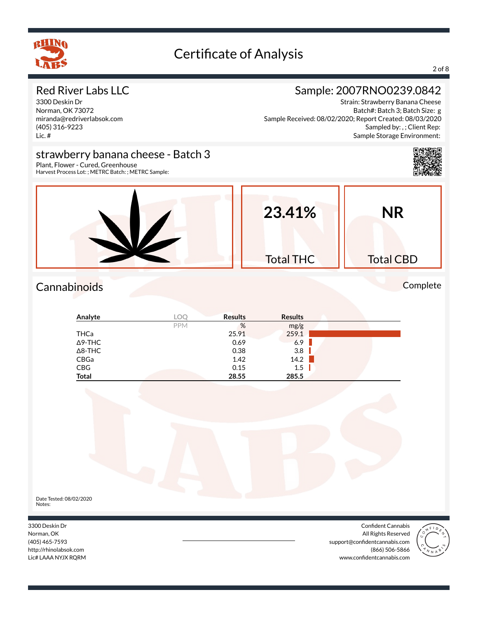

#### 2 of 8

### Red River Labs LLC

3300 Deskin Dr Norman, OK 73072 miranda@redriverlabsok.com (405) 316-9223 Lic. #

### Sample: 2007RNO0239.0842

Strain: Strawberry Banana Cheese Batch#: Batch 3; Batch Size: g Sample Received: 08/02/2020; Report Created: 08/03/2020 Sampled by: , ; Client Rep: Sample Storage Environment:

#### strawberry banana cheese - Batch 3



Plant, Flower - Cured, Greenhouse Harvest Process Lot: ; METRC Batch: ; METRC Sample:



## Cannabinoids Complete

| Analyte        | LOC        | <b>Results</b> | <b>Results</b> |  |
|----------------|------------|----------------|----------------|--|
|                | <b>PPM</b> | %              | mg/g           |  |
| <b>THCa</b>    |            | 25.91          | 259.1          |  |
| ∆9-THC         |            | 0.69           | 6.9            |  |
| $\Delta$ 8-THC |            | 0.38           | 3.8            |  |
| CBGa           |            | 1.42           | 14.2           |  |
| <b>CBG</b>     |            | 0.15           | 1.5            |  |
| <b>Total</b>   |            | 28.55          | 285.5          |  |



3300 Deskin Dr Norman, OK (405) 465-7593 http://rhinolabsok.com Lic# LAAA NYJX RQRM

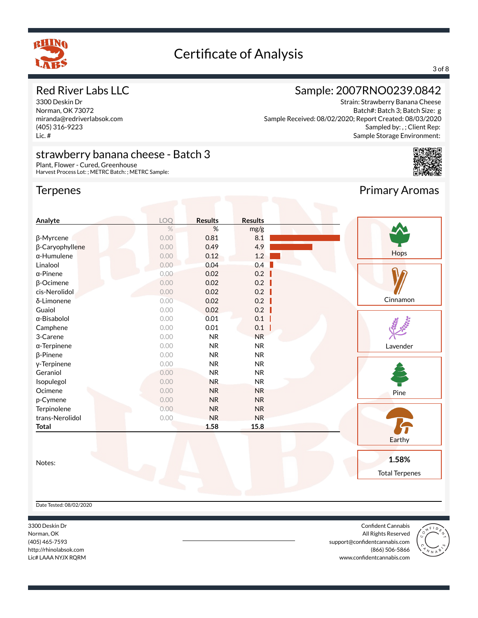

#### 3 of 8

#### Red River Labs LLC

3300 Deskin Dr Norman, OK 73072 miranda@redriverlabsok.com (405) 316-9223 Lic. #

#### strawberry banana cheese - Batch 3

Plant, Flower - Cured, Greenhouse Harvest Process Lot: ; METRC Batch: ; METRC Sample:

#### **Terpenes**

### Sample: 2007RNO0239.0842

Strain: Strawberry Banana Cheese Batch#: Batch 3; Batch Size: g Sample Received: 08/02/2020; Report Created: 08/03/2020 Sampled by: , ; Client Rep: Sample Storage Environment:



Primary Aromas

| Analyte             | LOQ  | <b>Results</b> | <b>Results</b> |                       |
|---------------------|------|----------------|----------------|-----------------------|
|                     | $\%$ | $\%$           | mg/g           |                       |
| β-Myrcene           | 0.00 | 0.81           | 8.1            |                       |
| β-Caryophyllene     | 0.00 | 0.49           | 4.9            |                       |
| $\alpha$ -Humulene  | 0.00 | 0.12           | 1.2            | Hops                  |
| Linalool            | 0.00 | 0.04           | 0.4            |                       |
| $\alpha$ -Pinene    | 0.00 | 0.02           | 0.2            |                       |
| $\beta$ -Ocimene    | 0.00 | 0.02           | 0.2            |                       |
| cis-Nerolidol       | 0.00 | 0.02           | 0.2            |                       |
| δ-Limonene          | 0.00 | 0.02           | 0.2            | Cinnamon              |
| Guaiol              | 0.00 | 0.02           | 0.2            |                       |
| $\alpha$ -Bisabolol | 0.00 | 0.01           | 0.1            |                       |
| Camphene            | 0.00 | 0.01           | 0.1            |                       |
| 3-Carene            | 0.00 | <b>NR</b>      | <b>NR</b>      |                       |
| $\alpha$ -Terpinene | 0.00 | <b>NR</b>      | <b>NR</b>      | Lavender              |
| $\beta$ -Pinene     | 0.00 | <b>NR</b>      | <b>NR</b>      |                       |
| y-Terpinene         | 0.00 | <b>NR</b>      | <b>NR</b>      |                       |
| Geraniol            | 0.00 | <b>NR</b>      | <b>NR</b>      |                       |
| Isopulegol          | 0.00 | <b>NR</b>      | <b>NR</b>      |                       |
| Ocimene             | 0.00 | <b>NR</b>      | <b>NR</b>      | Pine                  |
| p-Cymene            | 0.00 | <b>NR</b>      | <b>NR</b>      |                       |
| Terpinolene         | 0.00 | <b>NR</b>      | <b>NR</b>      |                       |
| trans-Nerolidol     | 0.00 | <b>NR</b>      | <b>NR</b>      |                       |
| <b>Total</b>        |      | 1.58           | 15.8           |                       |
|                     |      |                |                |                       |
|                     |      |                |                | Earthy                |
|                     |      |                |                |                       |
| Notes:              |      |                |                | 1.58%                 |
|                     |      |                |                | <b>Total Terpenes</b> |

Date Tested: 08/02/2020

3300 Deskin Dr Norman, OK (405) 465-7593 http://rhinolabsok.com Lic# LAAA NYJX RQRM

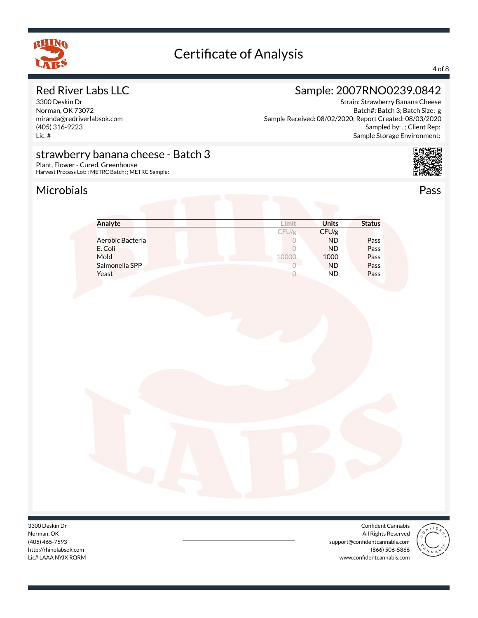

#### 4 of 8

#### Red River Labs LLC

3300 Deskin Dr Norman, OK 73072 miranda@redriverlabsok.com (405) 316-9223 Lic. #

### Sample: 2007RNO0239.0842

Strain: Strawberry Banana Cheese Batch#: Batch 3; Batch Size: g Sample Received: 08/02/2020; Report Created: 08/03/2020 Sampled by: , ; Client Rep: Sample Storage Environment:

#### strawberry banana cheese - Batch 3

Plant, Flower - Cured, Greenhouse Harvest Process Lot: ; METRC Batch: ; METRC Sample:

### Microbials Pass



| imit  | <b>Units</b> | <b>Status</b> |
|-------|--------------|---------------|
| CFU/g | CFU/g        |               |
|       | <b>ND</b>    | Pass          |
|       | <b>ND</b>    | Pass          |
| 10000 | 1000         | Pass          |
|       | <b>ND</b>    | Pass          |
|       | <b>ND</b>    | Pass          |
|       |              |               |

3300 Deskin Dr Norman, OK (405) 465-7593 http://rhinolabsok.com Lic# LAAA NYJX RQRM

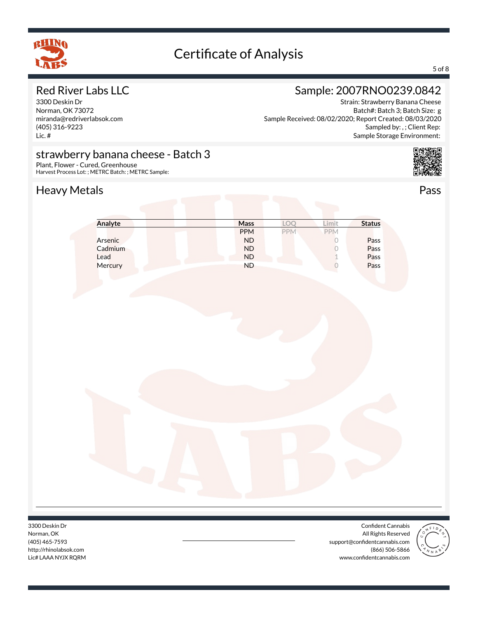

#### 5 of 8

### Red River Labs LLC

3300 Deskin Dr Norman, OK 73072 miranda@redriverlabsok.com (405) 316-9223 Lic. #

## Sample: 2007RNO0239.0842

Strain: Strawberry Banana Cheese Batch#: Batch 3; Batch Size: g Sample Received: 08/02/2020; Report Created: 08/03/2020 Sampled by: , ; Client Rep: Sample Storage Environment:

### strawberry banana cheese - Batch 3

Plant, Flower - Cured, Greenhouse Harvest Process Lot: ; METRC Batch: ; METRC Sample:

### Heavy Metals **Pass**



**Analyte Mass LOQ Limit Status** PPM PPM PPM Arsenic **Article 1986 ND** 0 **Pass** Cadmium ND 0 Pass Lead **ND** 1 Pass Mercury **ND** 0 Pass

3300 Deskin Dr Norman, OK (405) 465-7593 http://rhinolabsok.com Lic# LAAA NYJX RQRM

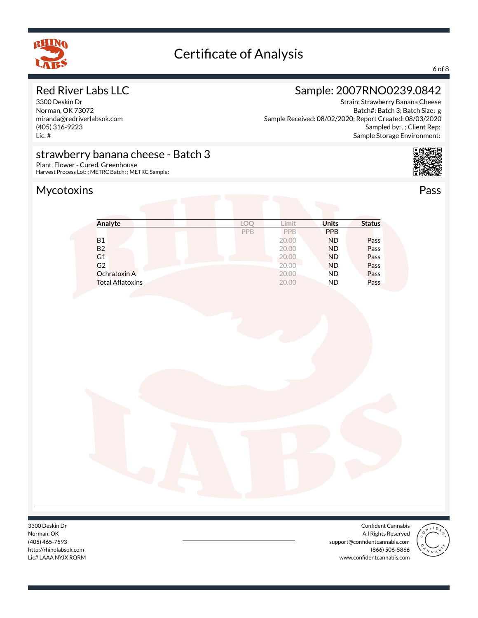

#### 6 of 8

### Red River Labs LLC

3300 Deskin Dr Norman, OK 73072 miranda@redriverlabsok.com (405) 316-9223 Lic. #

### Sample: 2007RNO0239.0842

Strain: Strawberry Banana Cheese Batch#: Batch 3; Batch Size: g Sample Received: 08/02/2020; Report Created: 08/03/2020 Sampled by: , ; Client Rep: Sample Storage Environment:

#### strawberry banana cheese - Batch 3

Plant, Flower - Cured, Greenhouse Harvest Process Lot: ; METRC Batch: ; METRC Sample:

## Mycotoxins Pass



| Analyte                 | <b>LOC</b> | .imit | <b>Units</b> | <b>Status</b> |
|-------------------------|------------|-------|--------------|---------------|
|                         | PPB        | PPB   | <b>PPB</b>   |               |
| <b>B1</b>               |            | 20.00 | <b>ND</b>    | Pass          |
| <b>B2</b>               |            | 20.00 | <b>ND</b>    | Pass          |
| G <sub>1</sub>          |            | 20.00 | <b>ND</b>    | Pass          |
| G <sub>2</sub>          |            | 20.00 | <b>ND</b>    | Pass          |
| Ochratoxin A            |            | 20.00 | <b>ND</b>    | Pass          |
| <b>Total Aflatoxins</b> |            | 20.00 | <b>ND</b>    | Pass          |

3300 Deskin Dr Norman, OK (405) 465-7593 http://rhinolabsok.com Lic# LAAA NYJX RQRM

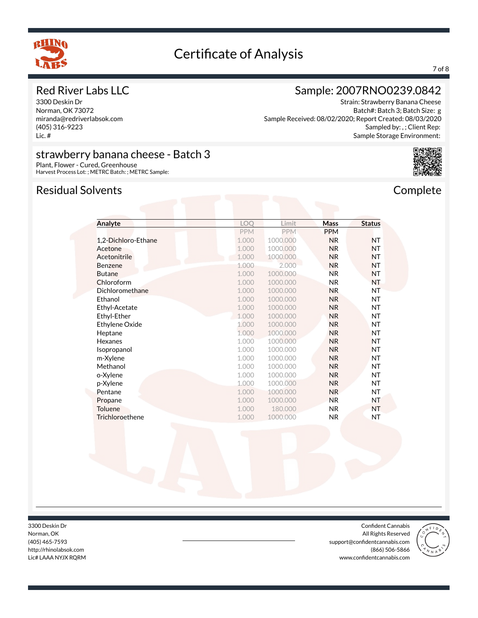

#### 7 of 8

#### Red River Labs LLC

3300 Deskin Dr Norman, OK 73072 miranda@redriverlabsok.com (405) 316-9223 Lic. #

### Sample: 2007RNO0239.0842

Strain: Strawberry Banana Cheese Batch#: Batch 3; Batch Size: g Sample Received: 08/02/2020; Report Created: 08/03/2020 Sampled by: , ; Client Rep: Sample Storage Environment:



#### strawberry banana cheese - Batch 3 Plant, Flower - Cured, Greenhouse

Harvest Process Lot: ; METRC Batch: ; METRC Sample:

#### Residual Solvents **Complete**

| Analyte                | LOQ        | Limit      | <b>Mass</b>    | <b>Status</b> |
|------------------------|------------|------------|----------------|---------------|
|                        | <b>PPM</b> | <b>PPM</b> | <b>PPM</b>     |               |
| 1,2-Dichloro-Ethane    | 1.000      | 1000,000   | <b>NR</b>      | <b>NT</b>     |
| Acetone                | 1.000      | 1000.000   | <b>NR</b>      | <b>NT</b>     |
| Acetonitrile           | 1.000      | 1000.000   | <b>NR</b>      | <b>NT</b>     |
| <b>Benzene</b>         | 1.000      | 2.000      | <b>NR</b>      | <b>NT</b>     |
| <b>Butane</b>          | 1.000      | 1000.000   | <b>NR</b>      | <b>NT</b>     |
| Chloroform             | 1.000      | 1000.000   | <b>NR</b>      | NT            |
| Dichloromethane        | 1.000      | 1000.000   | <b>NR</b>      | NT            |
| Ethanol                | 1.000      | 1000.000   | N <sub>R</sub> | <b>NT</b>     |
| Ethyl-Acetate          | 1.000      | 1000.000   | <b>NR</b>      | <b>NT</b>     |
| Ethyl-Ether            | 1.000      | 1000.000   | <b>NR</b>      | <b>NT</b>     |
| Ethylene Oxide         | 1.000      | 1000.000   | <b>NR</b>      | NT            |
| Heptane                | 1.000      | 1000.000   | <b>NR</b>      | <b>NT</b>     |
| Hexanes                | 1.000      | 1000.000   | <b>NR</b>      | <b>NT</b>     |
| Isopropanol            | 1.000      | 1000.000   | <b>NR</b>      | <b>NT</b>     |
| m-Xylene               | 1.000      | 1000.000   | <b>NR</b>      | NT            |
| Methanol               | 1.000      | 1000.000   | <b>NR</b>      | <b>NT</b>     |
| o-Xylene               | 1.000      | 1000.000   | N <sub>R</sub> | <b>NT</b>     |
| p-Xylene               | 1.000      | 1000.000   | <b>NR</b>      | <b>NT</b>     |
| Pentane                | 1.000      | 1000.000   | <b>NR</b>      | NT            |
| Propane                | 1.000      | 1000.000   | <b>NR</b>      | NT            |
| Toluene                | 1.000      | 180.000    | <b>NR</b>      | <b>NT</b>     |
| <b>Trichloroethene</b> | 1.000      | 1000.000   | <b>NR</b>      | NT            |

3300 Deskin Dr Norman, OK (405) 465-7593 http://rhinolabsok.com Lic# LAAA NYJX RQRM